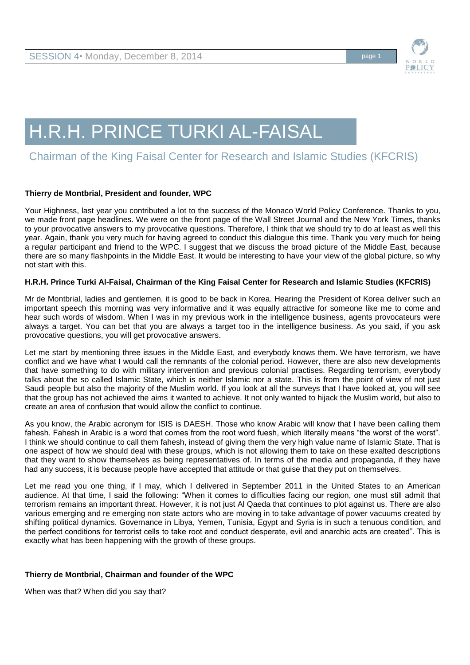

# H.R.H. PRINCE TURKI AL-FAISAL

## Chairman of the King Faisal Center for Research and Islamic Studies (KFCRIS)

### **Thierry de Montbrial, President and founder, WPC**

Your Highness, last year you contributed a lot to the success of the Monaco World Policy Conference. Thanks to you, we made front page headlines. We were on the front page of the Wall Street Journal and the New York Times, thanks to your provocative answers to my provocative questions. Therefore, I think that we should try to do at least as well this year. Again, thank you very much for having agreed to conduct this dialogue this time. Thank you very much for being a regular participant and friend to the WPC. I suggest that we discuss the broad picture of the Middle East, because there are so many flashpoints in the Middle East. It would be interesting to have your view of the global picture, so why not start with this.

#### **H.R.H. Prince Turki Al-Faisal, Chairman of the King Faisal Center for Research and Islamic Studies (KFCRIS)**

Mr de Montbrial, ladies and gentlemen, it is good to be back in Korea. Hearing the President of Korea deliver such an important speech this morning was very informative and it was equally attractive for someone like me to come and hear such words of wisdom. When I was in my previous work in the intelligence business, agents provocateurs were always a target. You can bet that you are always a target too in the intelligence business. As you said, if you ask provocative questions, you will get provocative answers.

Let me start by mentioning three issues in the Middle East, and everybody knows them. We have terrorism, we have conflict and we have what I would call the remnants of the colonial period. However, there are also new developments that have something to do with military intervention and previous colonial practises. Regarding terrorism, everybody talks about the so called Islamic State, which is neither Islamic nor a state. This is from the point of view of not just Saudi people but also the majority of the Muslim world. If you look at all the surveys that I have looked at, you will see that the group has not achieved the aims it wanted to achieve. It not only wanted to hijack the Muslim world, but also to create an area of confusion that would allow the conflict to continue.

As you know, the Arabic acronym for ISIS is DAESH. Those who know Arabic will know that I have been calling them fahesh. Fahesh in Arabic is a word that comes from the root word fuesh, which literally means "the worst of the worst". I think we should continue to call them fahesh, instead of giving them the very high value name of Islamic State. That is one aspect of how we should deal with these groups, which is not allowing them to take on these exalted descriptions that they want to show themselves as being representatives of. In terms of the media and propaganda, if they have had any success, it is because people have accepted that attitude or that guise that they put on themselves.

Let me read you one thing, if I may, which I delivered in September 2011 in the United States to an American audience. At that time, I said the following: "When it comes to difficulties facing our region, one must still admit that terrorism remains an important threat. However, it is not just Al Qaeda that continues to plot against us. There are also various emerging and re emerging non state actors who are moving in to take advantage of power vacuums created by shifting political dynamics. Governance in Libya, Yemen, Tunisia, Egypt and Syria is in such a tenuous condition, and the perfect conditions for terrorist cells to take root and conduct desperate, evil and anarchic acts are created". This is exactly what has been happening with the growth of these groups.

### **Thierry de Montbrial, Chairman and founder of the WPC**

When was that? When did you say that?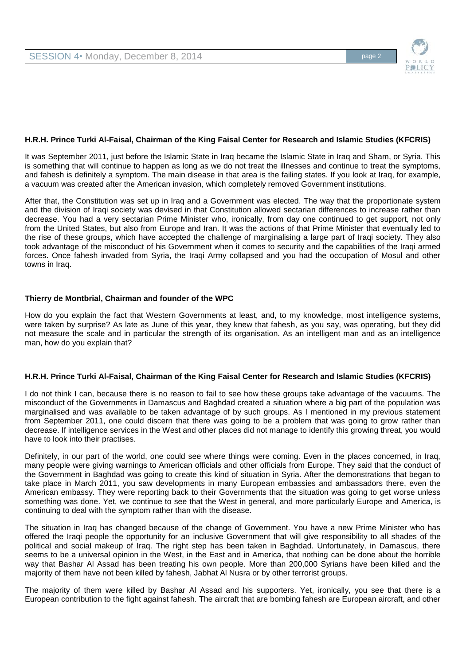

#### **H.R.H. Prince Turki Al-Faisal, Chairman of the King Faisal Center for Research and Islamic Studies (KFCRIS)**

It was September 2011, just before the Islamic State in Iraq became the Islamic State in Iraq and Sham, or Syria. This is something that will continue to happen as long as we do not treat the illnesses and continue to treat the symptoms, and fahesh is definitely a symptom. The main disease in that area is the failing states. If you look at Iraq, for example, a vacuum was created after the American invasion, which completely removed Government institutions.

After that, the Constitution was set up in Iraq and a Government was elected. The way that the proportionate system and the division of Iraqi society was devised in that Constitution allowed sectarian differences to increase rather than decrease. You had a very sectarian Prime Minister who, ironically, from day one continued to get support, not only from the United States, but also from Europe and Iran. It was the actions of that Prime Minister that eventually led to the rise of these groups, which have accepted the challenge of marginalising a large part of Iraqi society. They also took advantage of the misconduct of his Government when it comes to security and the capabilities of the Iraqi armed forces. Once fahesh invaded from Syria, the Iraqi Army collapsed and you had the occupation of Mosul and other towns in Iraq.

#### **Thierry de Montbrial, Chairman and founder of the WPC**

How do you explain the fact that Western Governments at least, and, to my knowledge, most intelligence systems, were taken by surprise? As late as June of this year, they knew that fahesh, as you say, was operating, but they did not measure the scale and in particular the strength of its organisation. As an intelligent man and as an intelligence man, how do you explain that?

#### **H.R.H. Prince Turki Al-Faisal, Chairman of the King Faisal Center for Research and Islamic Studies (KFCRIS)**

I do not think I can, because there is no reason to fail to see how these groups take advantage of the vacuums. The misconduct of the Governments in Damascus and Baghdad created a situation where a big part of the population was marginalised and was available to be taken advantage of by such groups. As I mentioned in my previous statement from September 2011, one could discern that there was going to be a problem that was going to grow rather than decrease. If intelligence services in the West and other places did not manage to identify this growing threat, you would have to look into their practises.

Definitely, in our part of the world, one could see where things were coming. Even in the places concerned, in Iraq, many people were giving warnings to American officials and other officials from Europe. They said that the conduct of the Government in Baghdad was going to create this kind of situation in Syria. After the demonstrations that began to take place in March 2011, you saw developments in many European embassies and ambassadors there, even the American embassy. They were reporting back to their Governments that the situation was going to get worse unless something was done. Yet, we continue to see that the West in general, and more particularly Europe and America, is continuing to deal with the symptom rather than with the disease.

The situation in Iraq has changed because of the change of Government. You have a new Prime Minister who has offered the Iraqi people the opportunity for an inclusive Government that will give responsibility to all shades of the political and social makeup of Iraq. The right step has been taken in Baghdad. Unfortunately, in Damascus, there seems to be a universal opinion in the West, in the East and in America, that nothing can be done about the horrible way that Bashar Al Assad has been treating his own people. More than 200,000 Syrians have been killed and the majority of them have not been killed by fahesh, Jabhat Al Nusra or by other terrorist groups.

The majority of them were killed by Bashar Al Assad and his supporters. Yet, ironically, you see that there is a European contribution to the fight against fahesh. The aircraft that are bombing fahesh are European aircraft, and other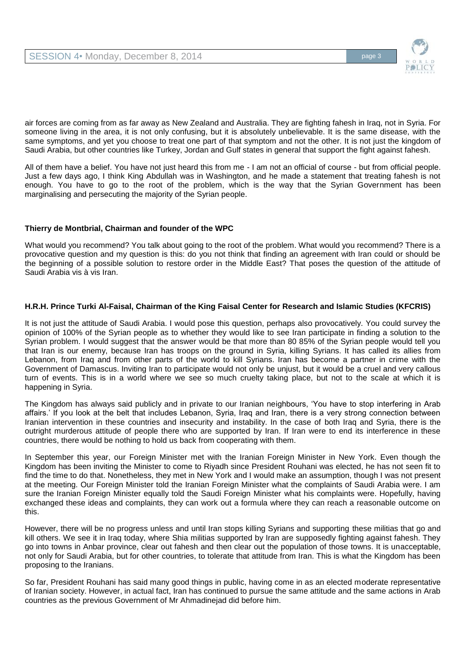

air forces are coming from as far away as New Zealand and Australia. They are fighting fahesh in Iraq, not in Syria. For someone living in the area, it is not only confusing, but it is absolutely unbelievable. It is the same disease, with the same symptoms, and yet you choose to treat one part of that symptom and not the other. It is not just the kingdom of Saudi Arabia, but other countries like Turkey, Jordan and Gulf states in general that support the fight against fahesh.

All of them have a belief. You have not just heard this from me - I am not an official of course - but from official people. Just a few days ago, I think King Abdullah was in Washington, and he made a statement that treating fahesh is not enough. You have to go to the root of the problem, which is the way that the Syrian Government has been marginalising and persecuting the majority of the Syrian people.

### **Thierry de Montbrial, Chairman and founder of the WPC**

What would you recommend? You talk about going to the root of the problem. What would you recommend? There is a provocative question and my question is this: do you not think that finding an agreement with Iran could or should be the beginning of a possible solution to restore order in the Middle East? That poses the question of the attitude of Saudi Arabia vis à vis Iran.

### **H.R.H. Prince Turki Al-Faisal, Chairman of the King Faisal Center for Research and Islamic Studies (KFCRIS)**

It is not just the attitude of Saudi Arabia. I would pose this question, perhaps also provocatively. You could survey the opinion of 100% of the Syrian people as to whether they would like to see Iran participate in finding a solution to the Syrian problem. I would suggest that the answer would be that more than 80 85% of the Syrian people would tell you that Iran is our enemy, because Iran has troops on the ground in Syria, killing Syrians. It has called its allies from Lebanon, from Iraq and from other parts of the world to kill Syrians. Iran has become a partner in crime with the Government of Damascus. Inviting Iran to participate would not only be unjust, but it would be a cruel and very callous turn of events. This is in a world where we see so much cruelty taking place, but not to the scale at which it is happening in Syria.

The Kingdom has always said publicly and in private to our Iranian neighbours, 'You have to stop interfering in Arab affairs.' If you look at the belt that includes Lebanon, Syria, Iraq and Iran, there is a very strong connection between Iranian intervention in these countries and insecurity and instability. In the case of both Iraq and Syria, there is the outright murderous attitude of people there who are supported by Iran. If Iran were to end its interference in these countries, there would be nothing to hold us back from cooperating with them.

In September this year, our Foreign Minister met with the Iranian Foreign Minister in New York. Even though the Kingdom has been inviting the Minister to come to Riyadh since President Rouhani was elected, he has not seen fit to find the time to do that. Nonetheless, they met in New York and I would make an assumption, though I was not present at the meeting. Our Foreign Minister told the Iranian Foreign Minister what the complaints of Saudi Arabia were. I am sure the Iranian Foreign Minister equally told the Saudi Foreign Minister what his complaints were. Hopefully, having exchanged these ideas and complaints, they can work out a formula where they can reach a reasonable outcome on this.

However, there will be no progress unless and until Iran stops killing Syrians and supporting these militias that go and kill others. We see it in Iraq today, where Shia militias supported by Iran are supposedly fighting against fahesh. They go into towns in Anbar province, clear out fahesh and then clear out the population of those towns. It is unacceptable, not only for Saudi Arabia, but for other countries, to tolerate that attitude from Iran. This is what the Kingdom has been proposing to the Iranians.

So far, President Rouhani has said many good things in public, having come in as an elected moderate representative of Iranian society. However, in actual fact, Iran has continued to pursue the same attitude and the same actions in Arab countries as the previous Government of Mr Ahmadinejad did before him.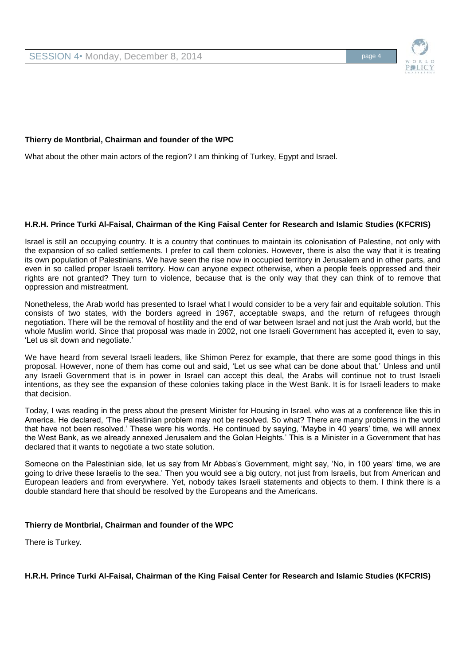### **Thierry de Montbrial, Chairman and founder of the WPC**

What about the other main actors of the region? I am thinking of Turkey, Egypt and Israel.

#### **H.R.H. Prince Turki Al-Faisal, Chairman of the King Faisal Center for Research and Islamic Studies (KFCRIS)**

Israel is still an occupying country. It is a country that continues to maintain its colonisation of Palestine, not only with the expansion of so called settlements. I prefer to call them colonies. However, there is also the way that it is treating its own population of Palestinians. We have seen the rise now in occupied territory in Jerusalem and in other parts, and even in so called proper Israeli territory. How can anyone expect otherwise, when a people feels oppressed and their rights are not granted? They turn to violence, because that is the only way that they can think of to remove that oppression and mistreatment.

Nonetheless, the Arab world has presented to Israel what I would consider to be a very fair and equitable solution. This consists of two states, with the borders agreed in 1967, acceptable swaps, and the return of refugees through negotiation. There will be the removal of hostility and the end of war between Israel and not just the Arab world, but the whole Muslim world. Since that proposal was made in 2002, not one Israeli Government has accepted it, even to say, 'Let us sit down and negotiate.'

We have heard from several Israeli leaders, like Shimon Perez for example, that there are some good things in this proposal. However, none of them has come out and said, 'Let us see what can be done about that.' Unless and until any Israeli Government that is in power in Israel can accept this deal, the Arabs will continue not to trust Israeli intentions, as they see the expansion of these colonies taking place in the West Bank. It is for Israeli leaders to make that decision.

Today, I was reading in the press about the present Minister for Housing in Israel, who was at a conference like this in America. He declared, 'The Palestinian problem may not be resolved. So what? There are many problems in the world that have not been resolved.' These were his words. He continued by saying, 'Maybe in 40 years' time, we will annex the West Bank, as we already annexed Jerusalem and the Golan Heights.' This is a Minister in a Government that has declared that it wants to negotiate a two state solution.

Someone on the Palestinian side, let us say from Mr Abbas's Government, might say, 'No, in 100 years' time, we are going to drive these Israelis to the sea.' Then you would see a big outcry, not just from Israelis, but from American and European leaders and from everywhere. Yet, nobody takes Israeli statements and objects to them. I think there is a double standard here that should be resolved by the Europeans and the Americans.

### **Thierry de Montbrial, Chairman and founder of the WPC**

There is Turkey.

#### **H.R.H. Prince Turki Al-Faisal, Chairman of the King Faisal Center for Research and Islamic Studies (KFCRIS)**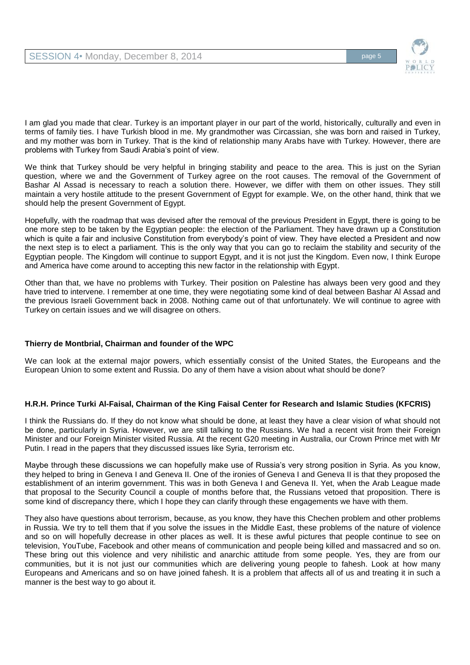

I am glad you made that clear. Turkey is an important player in our part of the world, historically, culturally and even in terms of family ties. I have Turkish blood in me. My grandmother was Circassian, she was born and raised in Turkey, and my mother was born in Turkey. That is the kind of relationship many Arabs have with Turkey. However, there are problems with Turkey from Saudi Arabia's point of view.

We think that Turkey should be very helpful in bringing stability and peace to the area. This is just on the Syrian question, where we and the Government of Turkey agree on the root causes. The removal of the Government of Bashar Al Assad is necessary to reach a solution there. However, we differ with them on other issues. They still maintain a very hostile attitude to the present Government of Egypt for example. We, on the other hand, think that we should help the present Government of Egypt.

Hopefully, with the roadmap that was devised after the removal of the previous President in Egypt, there is going to be one more step to be taken by the Egyptian people: the election of the Parliament. They have drawn up a Constitution which is quite a fair and inclusive Constitution from everybody's point of view. They have elected a President and now the next step is to elect a parliament. This is the only way that you can go to reclaim the stability and security of the Egyptian people. The Kingdom will continue to support Egypt, and it is not just the Kingdom. Even now, I think Europe and America have come around to accepting this new factor in the relationship with Egypt.

Other than that, we have no problems with Turkey. Their position on Palestine has always been very good and they have tried to intervene. I remember at one time, they were negotiating some kind of deal between Bashar Al Assad and the previous Israeli Government back in 2008. Nothing came out of that unfortunately. We will continue to agree with Turkey on certain issues and we will disagree on others.

### **Thierry de Montbrial, Chairman and founder of the WPC**

We can look at the external major powers, which essentially consist of the United States, the Europeans and the European Union to some extent and Russia. Do any of them have a vision about what should be done?

### **H.R.H. Prince Turki Al-Faisal, Chairman of the King Faisal Center for Research and Islamic Studies (KFCRIS)**

I think the Russians do. If they do not know what should be done, at least they have a clear vision of what should not be done, particularly in Syria. However, we are still talking to the Russians. We had a recent visit from their Foreign Minister and our Foreign Minister visited Russia. At the recent G20 meeting in Australia, our Crown Prince met with Mr Putin. I read in the papers that they discussed issues like Syria, terrorism etc.

Maybe through these discussions we can hopefully make use of Russia's very strong position in Syria. As you know, they helped to bring in Geneva I and Geneva II. One of the ironies of Geneva I and Geneva II is that they proposed the establishment of an interim government. This was in both Geneva I and Geneva II. Yet, when the Arab League made that proposal to the Security Council a couple of months before that, the Russians vetoed that proposition. There is some kind of discrepancy there, which I hope they can clarify through these engagements we have with them.

They also have questions about terrorism, because, as you know, they have this Chechen problem and other problems in Russia. We try to tell them that if you solve the issues in the Middle East, these problems of the nature of violence and so on will hopefully decrease in other places as well. It is these awful pictures that people continue to see on television, YouTube, Facebook and other means of communication and people being killed and massacred and so on. These bring out this violence and very nihilistic and anarchic attitude from some people. Yes, they are from our communities, but it is not just our communities which are delivering young people to fahesh. Look at how many Europeans and Americans and so on have joined fahesh. It is a problem that affects all of us and treating it in such a manner is the best way to go about it.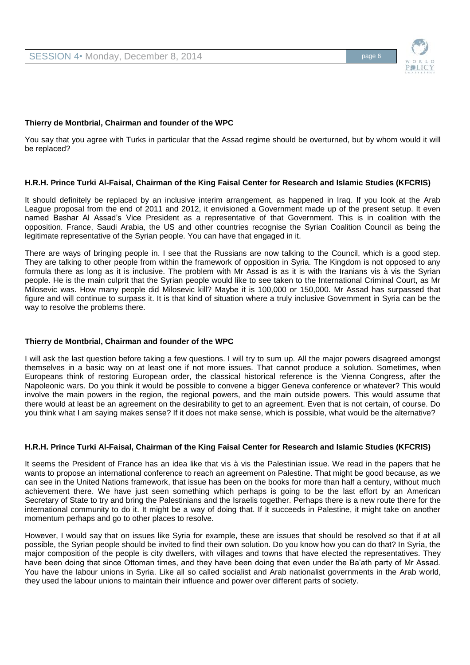

#### **Thierry de Montbrial, Chairman and founder of the WPC**

You say that you agree with Turks in particular that the Assad regime should be overturned, but by whom would it will be replaced?

#### **H.R.H. Prince Turki Al-Faisal, Chairman of the King Faisal Center for Research and Islamic Studies (KFCRIS)**

It should definitely be replaced by an inclusive interim arrangement, as happened in Iraq. If you look at the Arab League proposal from the end of 2011 and 2012, it envisioned a Government made up of the present setup. It even named Bashar Al Assad's Vice President as a representative of that Government. This is in coalition with the opposition. France, Saudi Arabia, the US and other countries recognise the Syrian Coalition Council as being the legitimate representative of the Syrian people. You can have that engaged in it.

There are ways of bringing people in. I see that the Russians are now talking to the Council, which is a good step. They are talking to other people from within the framework of opposition in Syria. The Kingdom is not opposed to any formula there as long as it is inclusive. The problem with Mr Assad is as it is with the Iranians vis à vis the Syrian people. He is the main culprit that the Syrian people would like to see taken to the International Criminal Court, as Mr Milosevic was. How many people did Milosevic kill? Maybe it is 100,000 or 150,000. Mr Assad has surpassed that figure and will continue to surpass it. It is that kind of situation where a truly inclusive Government in Syria can be the way to resolve the problems there.

#### **Thierry de Montbrial, Chairman and founder of the WPC**

I will ask the last question before taking a few questions. I will try to sum up. All the major powers disagreed amongst themselves in a basic way on at least one if not more issues. That cannot produce a solution. Sometimes, when Europeans think of restoring European order, the classical historical reference is the Vienna Congress, after the Napoleonic wars. Do you think it would be possible to convene a bigger Geneva conference or whatever? This would involve the main powers in the region, the regional powers, and the main outside powers. This would assume that there would at least be an agreement on the desirability to get to an agreement. Even that is not certain, of course. Do you think what I am saying makes sense? If it does not make sense, which is possible, what would be the alternative?

### **H.R.H. Prince Turki Al-Faisal, Chairman of the King Faisal Center for Research and Islamic Studies (KFCRIS)**

It seems the President of France has an idea like that vis à vis the Palestinian issue. We read in the papers that he wants to propose an international conference to reach an agreement on Palestine. That might be good because, as we can see in the United Nations framework, that issue has been on the books for more than half a century, without much achievement there. We have just seen something which perhaps is going to be the last effort by an American Secretary of State to try and bring the Palestinians and the Israelis together. Perhaps there is a new route there for the international community to do it. It might be a way of doing that. If it succeeds in Palestine, it might take on another momentum perhaps and go to other places to resolve.

However, I would say that on issues like Syria for example, these are issues that should be resolved so that if at all possible, the Syrian people should be invited to find their own solution. Do you know how you can do that? In Syria, the major composition of the people is city dwellers, with villages and towns that have elected the representatives. They have been doing that since Ottoman times, and they have been doing that even under the Ba'ath party of Mr Assad. You have the labour unions in Syria. Like all so called socialist and Arab nationalist governments in the Arab world, they used the labour unions to maintain their influence and power over different parts of society.